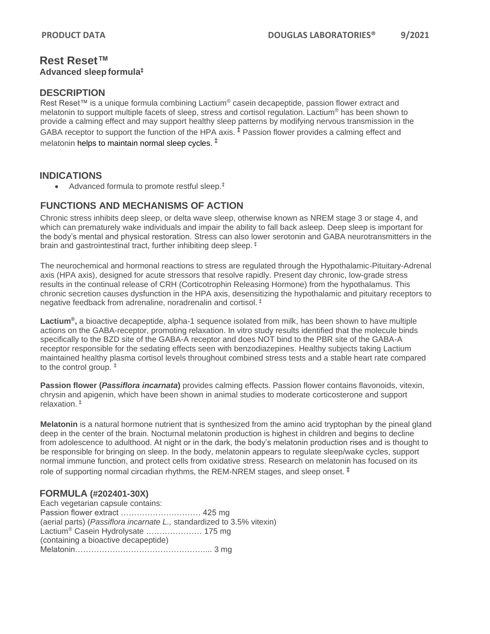# **Rest Reset™ Advanced sleep formula‡**

# **DESCRIPTION**

Rest Reset™ is a unique formula combining Lactium<sup>®</sup> casein decapeptide, passion flower extract and melatonin to support multiple facets of sleep, stress and cortisol regulation. Lactium® has been shown to provide a calming effect and may support healthy sleep patterns by modifying nervous transmission in the GABA receptor to support the function of the HPA axis.  $\frac{1}{7}$  Passion flower provides a calming effect and melatonin helps to maintain normal sleep cycles.  $^\ddag$ 

# **INDICATIONS**

• Advanced formula to promote restful sleep.<sup>‡</sup>

# **FUNCTIONS AND MECHANISMS OF ACTION**

Chronic stress inhibits deep sleep, or delta wave sleep, otherwise known as NREM stage 3 or stage 4, and which can prematurely wake individuals and impair the ability to fall back asleep. Deep sleep is important for the body's mental and physical restoration. Stress can also lower serotonin and GABA neurotransmitters in the brain and gastrointestinal tract, further inhibiting deep sleep. ‡

The neurochemical and hormonal reactions to stress are regulated through the Hypothalamic-Pituitary-Adrenal axis (HPA axis), designed for acute stressors that resolve rapidly. Present day chronic, low-grade stress results in the continual release of CRH (Corticotrophin Releasing Hormone) from the hypothalamus. This chronic secretion causes dysfunction in the HPA axis, desensitizing the hypothalamic and pituitary receptors to negative feedback from adrenaline, noradrenalin and cortisol. ‡

**Lactium®,** a bioactive decapeptide, alpha-1 sequence isolated from milk, has been shown to have multiple actions on the GABA-receptor, promoting relaxation. In vitro study results identified that the molecule binds specifically to the BZD site of the GABA-A receptor and does NOT bind to the PBR site of the GABA-A receptor responsible for the sedating effects seen with benzodiazepines. Healthy subjects taking Lactium maintained healthy plasma cortisol levels throughout combined stress tests and a stable heart rate compared to the control group. ‡

**Passion flower (***Passiflora incarnata***)** provides calming effects. Passion flower contains flavonoids, vitexin, chrysin and apigenin, which have been shown in animal studies to moderate corticosterone and support relaxation. ‡

**Melatonin** is a natural hormone nutrient that is synthesized from the amino acid tryptophan by the pineal gland deep in the center of the brain. Nocturnal melatonin production is highest in children and begins to decline from adolescence to adulthood. At night or in the dark, the body's melatonin production rises and is thought to be responsible for bringing on sleep. In the body, melatonin appears to regulate sleep/wake cycles, support normal immune function, and protect cells from oxidative stress. Research on melatonin has focused on its role of supporting normal circadian rhythms, the REM-NREM stages, and sleep onset.  $\ddagger$ 

# **FORMULA (#202401-30X)**

Each vegetarian capsule contains: Passion flower extract ………………………… 425 mg (aerial parts) (*Passiflora incarnate L.,* standardized to 3.5% vitexin) Lactium® Casein Hydrolysate ………………… 175 mg (containing a bioactive decapeptide) Melatonin………………………………………….... 3 mg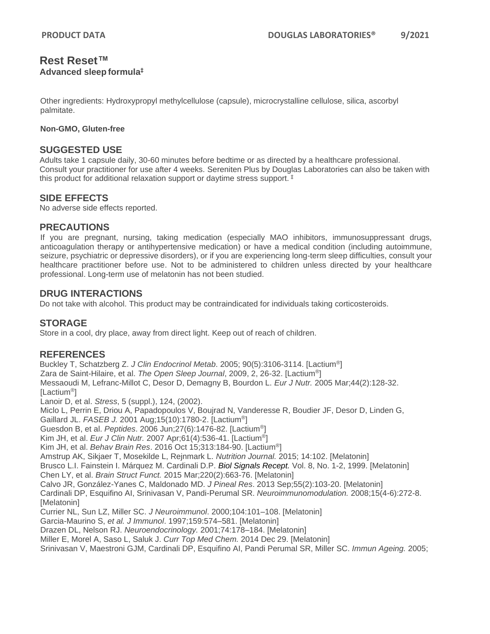## **Rest Reset™ Advanced sleep formula‡**

Other ingredients: Hydroxypropyl methylcellulose (capsule), microcrystalline cellulose, silica, ascorbyl palmitate.

#### **Non-GMO, Gluten-free**

### **SUGGESTED USE**

Adults take 1 capsule daily, 30-60 minutes before bedtime or as directed by a healthcare professional. Consult your practitioner for use after 4 weeks. Sereniten Plus by Douglas Laboratories can also be taken with this product for additional relaxation support or daytime stress support. ‡

### **SIDE EFFECTS**

No adverse side effects reported.

#### **PRECAUTIONS**

If you are pregnant, nursing, taking medication (especially MAO inhibitors, immunosuppressant drugs, anticoagulation therapy or antihypertensive medication) or have a medical condition (including autoimmune, seizure, psychiatric or depressive disorders), or if you are experiencing long-term sleep difficulties, consult your healthcare practitioner before use. Not to be administered to children unless directed by your healthcare professional. Long-term use of melatonin has not been studied.

## **DRUG INTERACTIONS**

Do not take with alcohol. This product may be contraindicated for individuals taking corticosteroids.

## **STORAGE**

Store in a cool, dry place, away from direct light. Keep out of reach of children.

## **REFERENCES**

Buckley T, Schatzberg Z. *J Clin Endocrinol Metab*. 2005; 90(5):3106-3114. [Lactium®] Zara de Saint-Hilaire, et al. *The Open Sleep Journal*, 2009, 2, 26-32. [Lactium®] Messaoudi M, Lefranc-Millot C, Desor D, Demagny B, Bourdon L. *Eur J Nutr.* 2005 Mar;44(2):128-32. [Lactium®] Lanoir D, et al. *Stress*, 5 (suppl.), 124, (2002). Miclo L, Perrin E, Driou A, Papadopoulos V, Boujrad N, Vanderesse R, Boudier JF, Desor D, Linden G, Gaillard JL. *FASEB J.* 2001 Aug;15(10):1780-2. [Lactium®] Guesdon B, et al. *Peptides*. 2006 Jun;27(6):1476-82. [Lactium®] Kim JH, et al. *Eur J Clin Nutr.* 2007 Apr;61(4):536-41. [Lactium®] Kim JH, et al. *Behav Brain Res*. 2016 Oct 15;313:184-90. [Lactium®] Amstrup AK, Sikjaer T, Mosekilde L, Rejnmark L. *Nutrition Journal.* 2015; 14:102. [Melatonin] Brusco L.I. Fainstein I. Márquez M. Cardinali D.P. *[Biol Signals Recept.](https://www.ncbi.nlm.nih.gov/pubmed/10085474)* Vol. 8, No. 1-2, 1999. [Melatonin] Chen LY, et al. *Brain Struct Funct.* 2015 Mar;220(2):663-76. [Melatonin] Calvo JR, González-Yanes C, Maldonado MD. *J Pineal Res*. 2013 Sep;55(2):103-20. [Melatonin] Cardinali DP, Esquifino AI, Srinivasan V, Pandi-Perumal SR. *Neuroimmunomodulation.* 2008;15(4-6):272-8. [Melatonin] Currier NL, Sun LZ, Miller SC. *J Neuroimmunol*. 2000;104:101–108. [Melatonin] Garcia-Maurino S, *et al. J Immunol*. 1997;159:574–581. [Melatonin] Drazen DL, Nelson RJ. *Neuroendocrinology.* 2001;74:178–184. [Melatonin] Miller E, Morel A, Saso L, Saluk J. *Curr Top Med Chem.* 2014 Dec 29. [Melatonin] Srinivasan V, Maestroni GJM, Cardinali DP, Esquifino AI, Pandi Perumal SR, Miller SC. *Immun Ageing.* 2005;